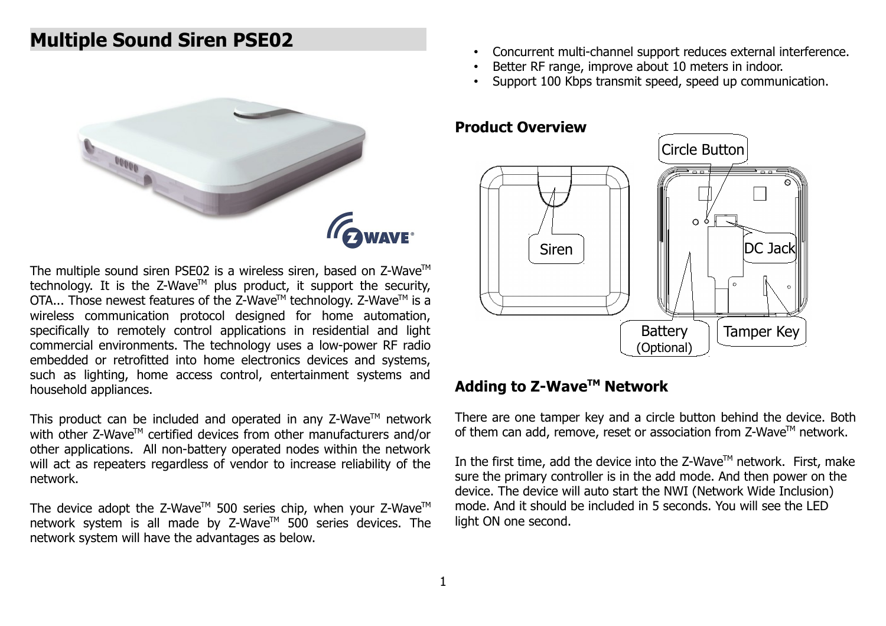# **Multiple Sound Siren PSE02**



The multiple sound siren PSE02 is a wireless siren, based on  $Z$ -Wave<sup>TM</sup> technology. It is the  $Z$ -Wave<sup>TM</sup> plus product, it support the security, OTA... Those newest features of the Z-Wave™ technology. Z-Wave™ is a wireless communication protocol designed for home automation, specifically to remotely control applications in residential and light commercial environments. The technology uses a low-power RF radio embedded or retrofitted into home electronics devices and systems, such as lighting, home access control, entertainment systems and household appliances.

This product can be included and operated in any  $Z$ -Wave<sup>TM</sup> network with other  $Z$ -Wave<sup>TM</sup> certified devices from other manufacturers and/or other applications. All non-battery operated nodes within the network will act as repeaters regardless of vendor to increase reliability of the network.

The device adopt the Z-Wave<sup>TM</sup> 500 series chip, when your Z-Wave<sup>TM</sup> network system is all made by Z-Wave™ 500 series devices. The network system will have the advantages as below.

- Concurrent multi-channel support reduces external interference.
- Better RF range, improve about 10 meters in indoor.
- Support 100 Kbps transmit speed, speed up communication.

#### **Product Overview**



#### **Adding to Z-WaveTM Network**

There are one tamper key and a circle button behind the device. Both of them can add, remove, reset or association from  $Z$ -Wave<sup>TM</sup> network.

In the first time, add the device into the  $Z$ -Wave<sup>TM</sup> network. First, make sure the primary controller is in the add mode. And then power on the device. The device will auto start the NWI (Network Wide Inclusion) mode. And it should be included in 5 seconds. You will see the LED light ON one second.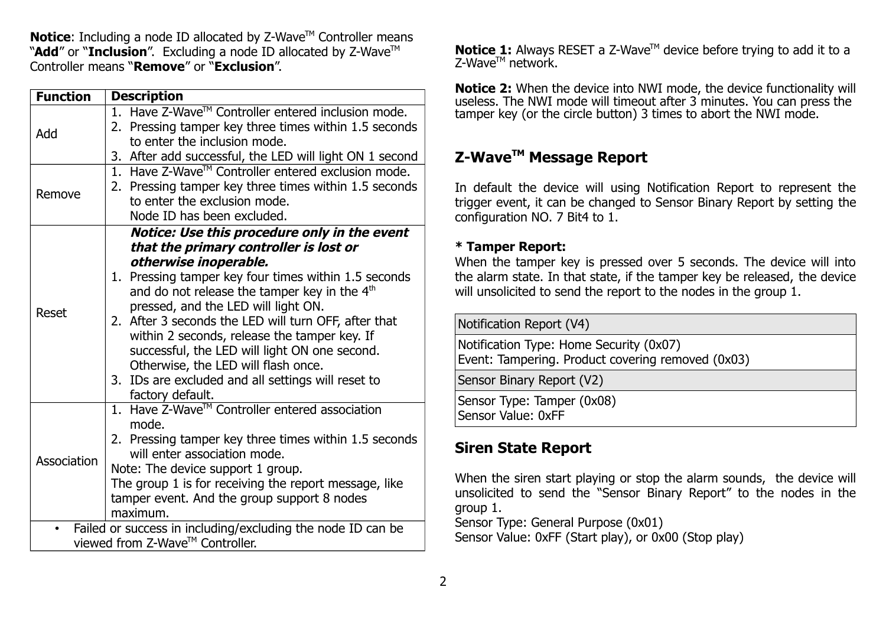**Notice:** Including a node ID allocated by Z-Wave™ Controller means "Add" or "Inclusion". Excluding a node ID allocated by Z-Wave<sup>™</sup> Controller means "**Remove**" or "**Exclusion**".

| <b>Function</b>                                             | <b>Description</b>                                                                                                                                                        |  |  |  |  |
|-------------------------------------------------------------|---------------------------------------------------------------------------------------------------------------------------------------------------------------------------|--|--|--|--|
| Add                                                         | 1. Have Z-Wave™ Controller entered inclusion mode.                                                                                                                        |  |  |  |  |
|                                                             | 2. Pressing tamper key three times within 1.5 seconds<br>to enter the inclusion mode.                                                                                     |  |  |  |  |
|                                                             | 3. After add successful, the LED will light ON 1 second                                                                                                                   |  |  |  |  |
| Remove                                                      | 1. Have Z-Wave™ Controller entered exclusion mode.<br>2. Pressing tamper key three times within 1.5 seconds<br>to enter the exclusion mode.<br>Node ID has been excluded. |  |  |  |  |
|                                                             | Notice: Use this procedure only in the event                                                                                                                              |  |  |  |  |
| Reset                                                       | that the primary controller is lost or                                                                                                                                    |  |  |  |  |
|                                                             | otherwise inoperable.                                                                                                                                                     |  |  |  |  |
|                                                             | 1. Pressing tamper key four times within 1.5 seconds                                                                                                                      |  |  |  |  |
|                                                             | and do not release the tamper key in the 4 <sup>th</sup>                                                                                                                  |  |  |  |  |
|                                                             | pressed, and the LED will light ON.<br>2. After 3 seconds the LED will turn OFF, after that                                                                               |  |  |  |  |
|                                                             | within 2 seconds, release the tamper key. If                                                                                                                              |  |  |  |  |
|                                                             | successful, the LED will light ON one second.                                                                                                                             |  |  |  |  |
|                                                             | Otherwise, the LED will flash once.                                                                                                                                       |  |  |  |  |
|                                                             | 3. IDs are excluded and all settings will reset to                                                                                                                        |  |  |  |  |
|                                                             | factory default.                                                                                                                                                          |  |  |  |  |
| Association                                                 | 1. Have Z-Wave™ Controller entered association                                                                                                                            |  |  |  |  |
|                                                             | mode.                                                                                                                                                                     |  |  |  |  |
|                                                             | 2. Pressing tamper key three times within 1.5 seconds<br>will enter association mode.                                                                                     |  |  |  |  |
|                                                             | Note: The device support 1 group.                                                                                                                                         |  |  |  |  |
|                                                             | The group 1 is for receiving the report message, like                                                                                                                     |  |  |  |  |
|                                                             | tamper event. And the group support 8 nodes                                                                                                                               |  |  |  |  |
|                                                             | maximum.                                                                                                                                                                  |  |  |  |  |
| Failed or success in including/excluding the node ID can be |                                                                                                                                                                           |  |  |  |  |
| viewed from Z-Wave™ Controller.                             |                                                                                                                                                                           |  |  |  |  |

**Notice 1:** Always RESET a Z-Wave™ device before trying to add it to a Z-Wave™ network.

**Notice 2:** When the device into NWI mode, the device functionality will useless. The NWI mode will timeout after 3 minutes. You can press the tamper key (or the circle button) 3 times to abort the NWI mode.

## **Z-WaveTM Message Report**

In default the device will using Notification Report to represent the trigger event, it can be changed to Sensor Binary Report by setting the configuration NO. 7 Bit4 to 1.

#### **\* Tamper Report:**

When the tamper key is pressed over 5 seconds. The device will into the alarm state. In that state, if the tamper key be released, the device will unsolicited to send the report to the nodes in the group 1.

## **Siren State Report**

When the siren start playing or stop the alarm sounds, the device will unsolicited to send the "Sensor Binary Report" to the nodes in the group 1.

Sensor Type: General Purpose (0x01)

Sensor Value: 0xFF (Start play), or 0x00 (Stop play)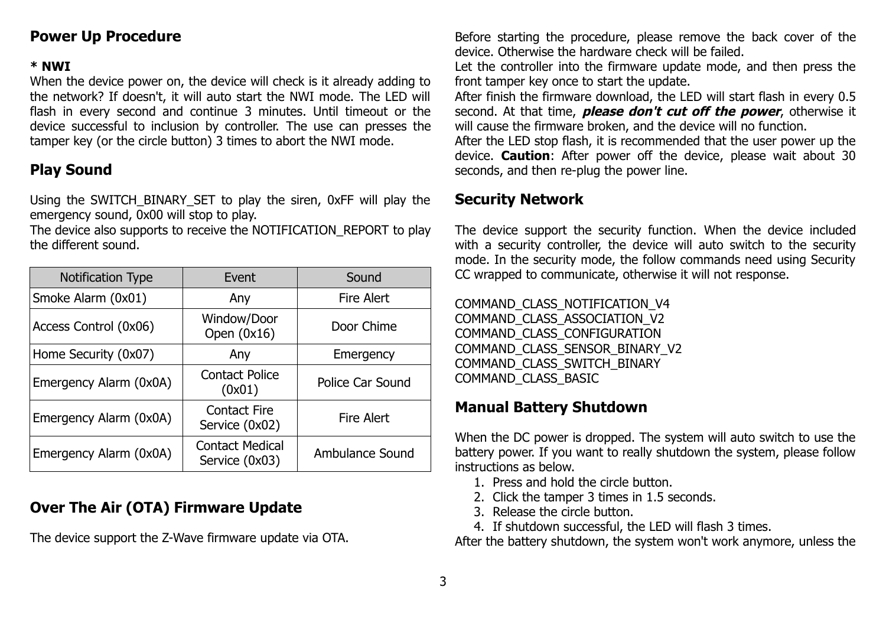### **Power Up Procedure**

#### **\* NWI**

When the device power on, the device will check is it already adding to the network? If doesn't, it will auto start the NWI mode. The LED will flash in every second and continue 3 minutes. Until timeout or the device successful to inclusion by controller. The use can presses the tamper key (or the circle button) 3 times to abort the NWI mode.

### **Play Sound**

Using the SWITCH\_BINARY\_SET to play the siren, 0xFF will play the emergency sound, 0x00 will stop to play.

The device also supports to receive the NOTIFICATION\_REPORT to play the different sound.

| <b>Notification Type</b> | Event                                                      | Sound                  |  |
|--------------------------|------------------------------------------------------------|------------------------|--|
| Smoke Alarm (0x01)       | Any                                                        | <b>Fire Alert</b>      |  |
| Access Control (0x06)    | Window/Door<br>Open $(0x16)$                               | Door Chime             |  |
| Home Security (0x07)     | Any                                                        | Emergency              |  |
| Emergency Alarm (0x0A)   | <b>Contact Police</b><br>(0x01)                            | Police Car Sound       |  |
| Emergency Alarm (0x0A)   | <b>Contact Fire</b><br><b>Fire Alert</b><br>Service (0x02) |                        |  |
| Emergency Alarm (0x0A)   | <b>Contact Medical</b><br>Service (0x03)                   | <b>Ambulance Sound</b> |  |

## **Over The Air (OTA) Firmware Update**

The device support the Z-Wave firmware update via OTA.

Before starting the procedure, please remove the back cover of the device. Otherwise the hardware check will be failed.

Let the controller into the firmware update mode, and then press the front tamper key once to start the update.

After finish the firmware download, the LED will start flash in every 0.5 second. At that time, **please don't cut off the power**, otherwise it will cause the firmware broken, and the device will no function.

After the LED stop flash, it is recommended that the user power up the device. **Caution**: After power off the device, please wait about 30 seconds, and then re-plug the power line.

### **Security Network**

The device support the security function. When the device included with a security controller, the device will auto switch to the security mode. In the security mode, the follow commands need using Security CC wrapped to communicate, otherwise it will not response.

COMMAND\_CLASS\_NOTIFICATION\_V4 COMMAND\_CLASS\_ASSOCIATION\_V2 COMMAND\_CLASS\_CONFIGURATION COMMAND\_CLASS\_SENSOR\_BINARY\_V2 COMMAND\_CLASS\_SWITCH\_BINARY COMMAND\_CLASS\_BASIC

### **Manual Battery Shutdown**

When the DC power is dropped. The system will auto switch to use the battery power. If you want to really shutdown the system, please follow instructions as below.

- 1. Press and hold the circle button.
- 2. Click the tamper 3 times in 1.5 seconds.
- 3. Release the circle button.
- 4. If shutdown successful, the LED will flash 3 times.

After the battery shutdown, the system won't work anymore, unless the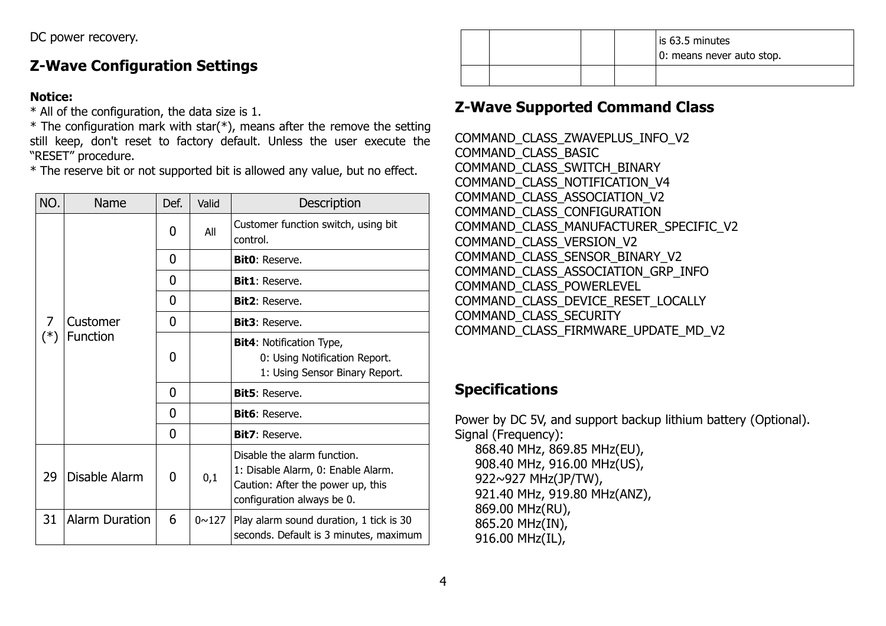## **Z-Wave Configuration Settings**

#### **Notice:**

\* All of the configuration, the data size is 1.

 $*$  The configuration mark with star( $*$ ), means after the remove the setting still keep, don't reset to factory default. Unless the user execute the "RESET" procedure.

\* The reserve bit or not supported bit is allowed any value, but no effect.

| NO.      | Name                                                                                                                        | Def.           | Valid                              | Description                                                                                        |
|----------|-----------------------------------------------------------------------------------------------------------------------------|----------------|------------------------------------|----------------------------------------------------------------------------------------------------|
| 7<br>(*) |                                                                                                                             | 0              | All                                | Customer function switch, using bit<br>control.                                                    |
|          |                                                                                                                             | $\overline{0}$ |                                    | <b>Bit0</b> : Reserve.                                                                             |
|          |                                                                                                                             | 0              |                                    | <b>Bit1</b> : Reserve.                                                                             |
|          |                                                                                                                             | 0              |                                    | <b>Bit2</b> : Reserve.                                                                             |
|          | Customer                                                                                                                    | 0              |                                    | <b>Bit3</b> : Reserve.                                                                             |
|          | Function                                                                                                                    | 0              |                                    | <b>Bit4: Notification Type,</b><br>0: Using Notification Report.<br>1: Using Sensor Binary Report. |
|          |                                                                                                                             | $\overline{0}$ |                                    | <b>Bit5</b> : Reserve.                                                                             |
|          |                                                                                                                             | 0              |                                    | <b>Bit6</b> : Reserve.                                                                             |
|          |                                                                                                                             | 0              |                                    | <b>Bit7: Reserve.</b>                                                                              |
| 29       | Disable the alarm function.<br>Disable Alarm<br>0<br>0,1<br>Caution: After the power up, this<br>configuration always be 0. |                | 1: Disable Alarm, 0: Enable Alarm. |                                                                                                    |
| 31       | <b>Alarm Duration</b>                                                                                                       | 6              | $0 \sim 127$                       | Play alarm sound duration, 1 tick is 30<br>seconds. Default is 3 minutes, maximum                  |

is 63.5 minutes 0: means never auto stop.

## **Z-Wave Supported Command Class**

COMMAND\_CLASS\_ZWAVEPLUS\_INFO\_V2 COMMAND\_CLASS\_BASIC COMMAND\_CLASS\_SWITCH\_BINARY COMMAND\_CLASS\_NOTIFICATION\_V4 COMMAND\_CLASS\_ASSOCIATION\_V2 COMMAND\_CLASS\_CONFIGURATION COMMAND\_CLASS\_MANUFACTURER\_SPECIFIC\_V2 COMMAND\_CLASS\_VERSION\_V2 COMMAND\_CLASS\_SENSOR\_BINARY\_V2 COMMAND\_CLASS\_ASSOCIATION\_GRP\_INFO COMMAND\_CLASS\_POWERLEVEL COMMAND\_CLASS\_DEVICE\_RESET\_LOCALLY COMMAND\_CLASS\_SECURITY COMMAND\_CLASS\_FIRMWARE\_UPDATE\_MD\_V2

## **Specifications**

916.00 MHz(IL),

Power by DC 5V, and support backup lithium battery (Optional). Signal (Frequency): 868.40 MHz, 869.85 MHz(EU), 908.40 MHz, 916.00 MHz(US), 922~927 MHz(JP/TW), 921.40 MHz, 919.80 MHz(ANZ), 869.00 MHz(RU), 865.20 MHz(IN),

4